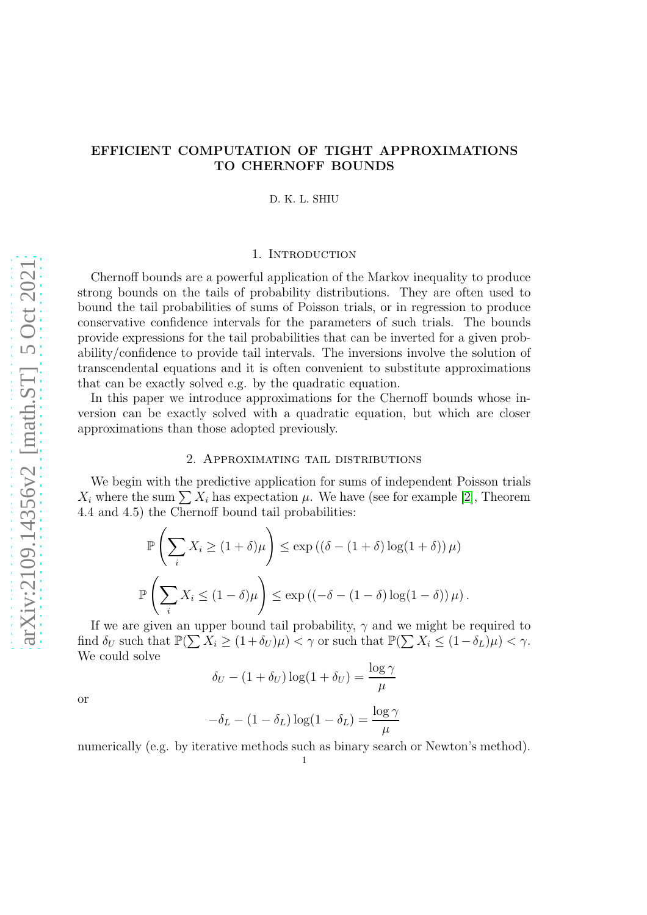# EFFICIENT COMPUTATION OF TIGHT APPROXIMATIONS TO CHERNOFF BOUNDS

D. K. L. SHIU

# 1. INTRODUCTION

Chernoff bounds are a powerful application of the Markov inequality to produce strong bounds on the tails of probability distributions. They are often used to bound the tail probabilities of sums of Poisson trials, or in regression to produce conservative confidence intervals for the parameters of such trials. The bounds provide expressions for the tail probabilities that can be inverted for a given probability/confidence to provide tail intervals. The inversions involve the solution of transcendental equations and it is often convenient to substitute approximations that can be exactly solved e.g. by the quadratic equation.

In this paper we introduce approximations for the Chernoff bounds whose inversion can be exactly solved with a quadratic equation, but which are closer approximations than those adopted previously.

#### 2. Approximating tail distributions

We begin with the predictive application for sums of independent Poisson trials  $X_i$  where the sum  $\sum X_i$  has expectation  $\mu$ . We have (see for example [\[2\]](#page-7-0), Theorem 4.4 and 4.5) the Chernoff bound tail probabilities:

$$
\mathbb{P}\left(\sum_{i} X_{i} \geq (1+\delta)\mu\right) \leq \exp\left((\delta - (1+\delta)\log(1+\delta))\mu\right)
$$

$$
\mathbb{P}\left(\sum_{i} X_{i} \leq (1-\delta)\mu\right) \leq \exp\left((-\delta - (1-\delta)\log(1-\delta))\mu\right).
$$

If we are given an upper bound tail probability,  $\gamma$  and we might be required to find  $\delta_U$  such that  $\mathbb{P}(\sum X_i \geq (1+\delta_U)\mu) < \gamma$  or such that  $\mathbb{P}(\sum X_i \leq (1-\delta_L)\mu) < \gamma$ . We could solve

$$
\delta_U - (1 + \delta_U) \log(1 + \delta_U) = \frac{\log \gamma}{\mu}
$$

or

$$
-\delta_L - (1 - \delta_L) \log(1 - \delta_L) = \frac{\log \gamma}{\mu}
$$

numerically (e.g. by iterative methods such as binary search or Newton's method).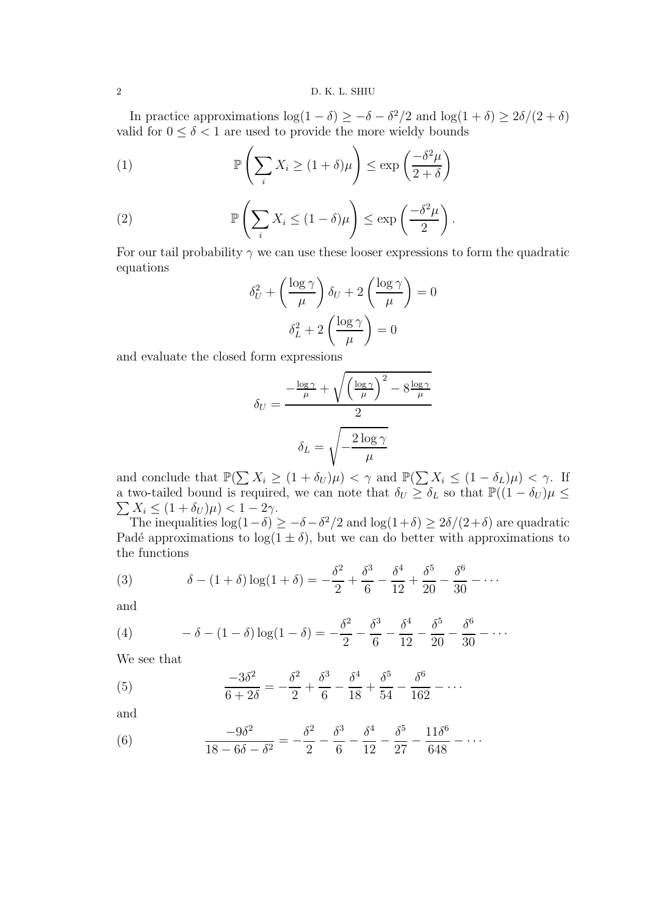In practice approximations  $\log(1-\delta) \geq -\delta - \delta^2/2$  and  $\log(1+\delta) \geq 2\delta/(2+\delta)$ valid for  $0 \le \delta < 1$  are used to provide the more wieldy bounds

<span id="page-1-4"></span>(1) 
$$
\mathbb{P}\left(\sum_{i} X_{i} \geq (1+\delta)\mu\right) \leq \exp\left(\frac{-\delta^{2}\mu}{2+\delta}\right)
$$

(2) 
$$
\mathbb{P}\left(\sum_{i} X_{i} \leq (1-\delta)\mu\right) \leq \exp\left(\frac{-\delta^{2}\mu}{2}\right).
$$

For our tail probability  $\gamma$  we can use these looser expressions to form the quadratic equations

<span id="page-1-5"></span>
$$
\delta_U^2 + \left(\frac{\log \gamma}{\mu}\right)\delta_U + 2\left(\frac{\log \gamma}{\mu}\right) = 0
$$

$$
\delta_L^2 + 2\left(\frac{\log \gamma}{\mu}\right) = 0
$$

and evaluate the closed form expressions

$$
\delta_U = \frac{-\frac{\log \gamma}{\mu} + \sqrt{\left(\frac{\log \gamma}{\mu}\right)^2 - 8\frac{\log \gamma}{\mu}}}{2}
$$

$$
\delta_L = \sqrt{-\frac{2\log \gamma}{\mu}}
$$

and conclude that  $\mathbb{P}(\sum X_i \geq (1+\delta_U)\mu) < \gamma$  and  $\mathbb{P}(\sum X_i \leq (1-\delta_L)\mu) < \gamma$ . If a two-tailed bound is required, we can note that  $\delta_U \geq \delta_L$  so that  $\mathbb{P}((1 - \delta_U) \mu \leq$  $\sum X_i \leq (1 + \delta_U)\mu$ ) < 1 – 2 $\gamma$ .

The inequalities  $\log(1-\delta) \geq -\delta - \delta^2/2$  and  $\log(1+\delta) \geq 2\delta/(2+\delta)$  are quadratic Padé approximations to  $log(1 \pm \delta)$ , but we can do better with approximations to the functions

<span id="page-1-0"></span>(3) 
$$
\delta - (1+\delta)\log(1+\delta) = -\frac{\delta^2}{2} + \frac{\delta^3}{6} - \frac{\delta^4}{12} + \frac{\delta^5}{20} - \frac{\delta^6}{30} - \cdots
$$

and

<span id="page-1-2"></span>(4) 
$$
-\delta - (1 - \delta) \log(1 - \delta) = -\frac{\delta^2}{2} - \frac{\delta^3}{6} - \frac{\delta^4}{12} - \frac{\delta^5}{20} - \frac{\delta^6}{30} - \cdots
$$

We see that

<span id="page-1-1"></span>(5) 
$$
\frac{-3\delta^2}{6+2\delta} = -\frac{\delta^2}{2} + \frac{\delta^3}{6} - \frac{\delta^4}{18} + \frac{\delta^5}{54} - \frac{\delta^6}{162} - \cdots
$$

and

<span id="page-1-3"></span>(6) 
$$
\frac{-9\delta^2}{18 - 6\delta - \delta^2} = -\frac{\delta^2}{2} - \frac{\delta^3}{6} - \frac{\delta^4}{12} - \frac{\delta^5}{27} - \frac{11\delta^6}{648} - \cdots
$$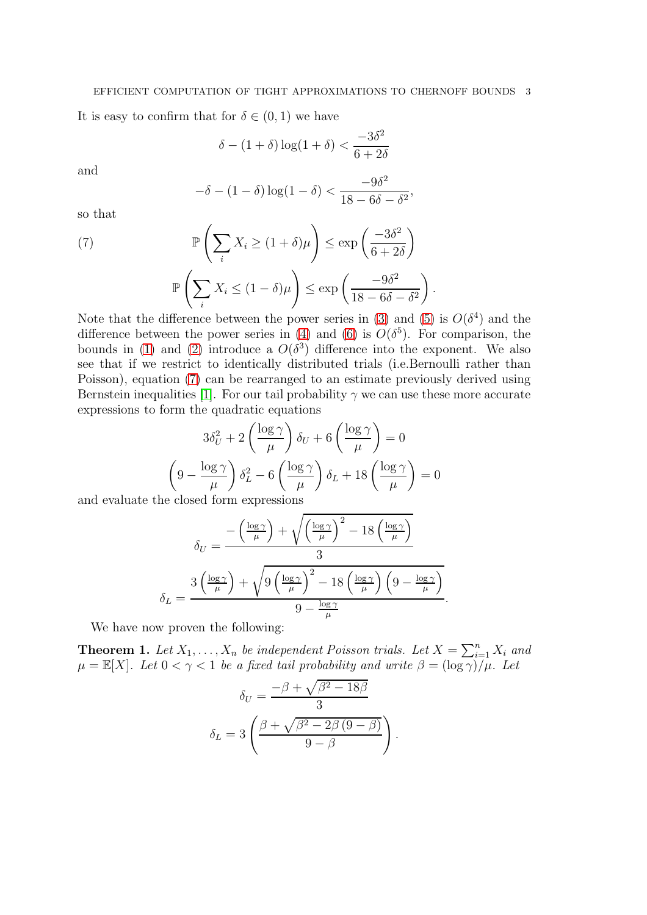It is easy to confirm that for  $\delta \in (0,1)$  we have

$$
\delta - (1+\delta)\log(1+\delta) < \frac{-3\delta^2}{6+2\delta}
$$

and

<span id="page-2-0"></span>
$$
-\delta - (1 - \delta) \log(1 - \delta) < \frac{-9\delta^2}{18 - 6\delta - \delta^2},
$$

so that

(7)  
\n
$$
\mathbb{P}\left(\sum_{i} X_{i} \geq (1+\delta)\mu\right) \leq \exp\left(\frac{-3\delta^{2}}{6+2\delta}\right)
$$
\n
$$
\mathbb{P}\left(\sum_{i} X_{i} \leq (1-\delta)\mu\right) \leq \exp\left(\frac{-9\delta^{2}}{18-6\delta-\delta^{2}}\right).
$$
\nN.t.  $|\mathbf{A}| = \mathbb{N}^{c}$ 

Note that the difference between the power series in [\(3\)](#page-1-0) and [\(5\)](#page-1-1) is  $O(\delta^4)$  and the difference between the power series in [\(4\)](#page-1-2) and [\(6\)](#page-1-3) is  $O(\delta^5)$ . For comparison, the bounds in [\(1\)](#page-1-4) and [\(2\)](#page-1-5) introduce a  $O(\delta^3)$  difference into the exponent. We also see that if we restrict to identically distributed trials (i.e.Bernoulli rather than Poisson), equation [\(7\)](#page-2-0) can be rearranged to an estimate previously derived using Bernstein inequalities [\[1\]](#page-7-1). For our tail probability  $\gamma$  we can use these more accurate expressions to form the quadratic equations

$$
3\delta_U^2 + 2\left(\frac{\log \gamma}{\mu}\right)\delta_U + 6\left(\frac{\log \gamma}{\mu}\right) = 0
$$

$$
\left(9 - \frac{\log \gamma}{\mu}\right)\delta_L^2 - 6\left(\frac{\log \gamma}{\mu}\right)\delta_L + 18\left(\frac{\log \gamma}{\mu}\right) = 0
$$

and evaluate the closed form expressions

$$
\delta_U = \frac{-\left(\frac{\log \gamma}{\mu}\right) + \sqrt{\left(\frac{\log \gamma}{\mu}\right)^2 - 18\left(\frac{\log \gamma}{\mu}\right)}}{3}
$$

$$
\delta_L = \frac{3\left(\frac{\log \gamma}{\mu}\right) + \sqrt{9\left(\frac{\log \gamma}{\mu}\right)^2 - 18\left(\frac{\log \gamma}{\mu}\right)\left(9 - \frac{\log \gamma}{\mu}\right)}}{9 - \frac{\log \gamma}{\mu}}
$$

.

We have now proven the following:

**Theorem 1.** Let  $X_1, \ldots, X_n$  be independent Poisson trials. Let  $X = \sum_{i=1}^n X_i$  and  $\mu = \mathbb{E}[X]$ . Let  $0 < \gamma < 1$  be a fixed tail probability and write  $\beta = (\log \gamma)/\mu$ . Let

$$
\delta_U = \frac{-\beta + \sqrt{\beta^2 - 18\beta}}{3}
$$

$$
\delta_L = 3\left(\frac{\beta + \sqrt{\beta^2 - 2\beta(9 - \beta)}}{9 - \beta}\right).
$$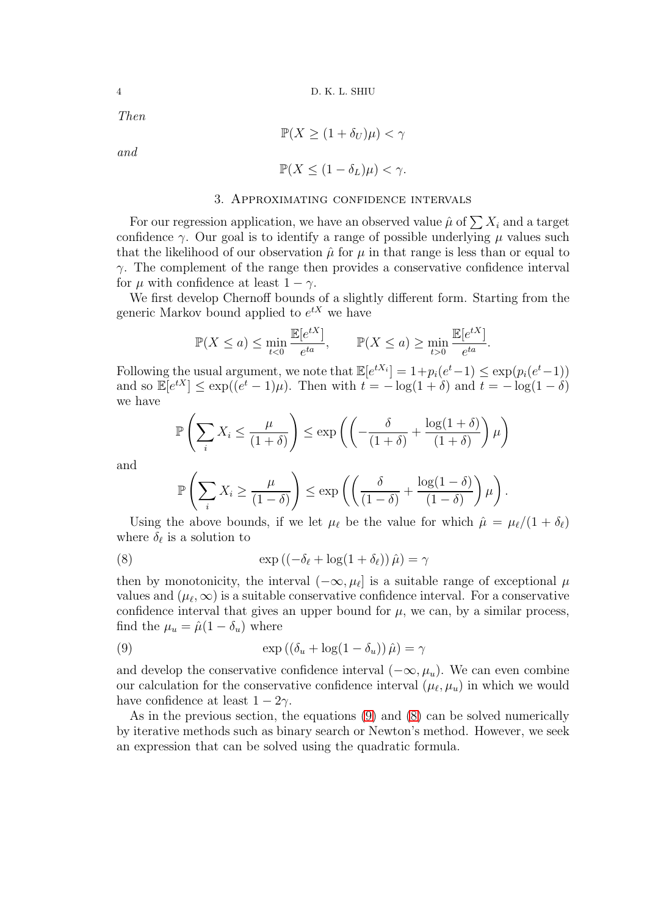Then

$$
\mathbb{P}(X \geq (1 + \delta_U)\mu) < \gamma
$$

and

$$
\mathbb{P}(X \le (1 - \delta_L)\mu) < \gamma.
$$

### 3. Approximating confidence intervals

For our regression application, we have an observed value  $\hat{\mu}$  of  $\sum X_i$  and a target confidence  $\gamma$ . Our goal is to identify a range of possible underlying  $\mu$  values such that the likelihood of our observation  $\hat{\mu}$  for  $\mu$  in that range is less than or equal to  $\gamma$ . The complement of the range then provides a conservative confidence interval for  $\mu$  with confidence at least  $1 - \gamma$ .

We first develop Chernoff bounds of a slightly different form. Starting from the generic Markov bound applied to  $e^{tX}$  we have

$$
\mathbb{P}(X \le a) \le \min_{t < 0} \frac{\mathbb{E}[e^{tX}]}{e^{ta}}, \qquad \mathbb{P}(X \le a) \ge \min_{t > 0} \frac{\mathbb{E}[e^{tX}]}{e^{ta}}.
$$

Following the usual argument, we note that  $\mathbb{E}[e^{tX_i}] = 1 + p_i(e^t - 1) \le \exp(p_i(e^t - 1))$ and so  $\mathbb{E}[e^{tX}] \le \exp((e^t - 1)\mu)$ . Then with  $t = -\log(1 + \delta)$  and  $t = -\log(1 - \delta)$ we have

$$
\mathbb{P}\left(\sum_{i} X_{i} \leq \frac{\mu}{(1+\delta)}\right) \leq \exp\left(\left(-\frac{\delta}{(1+\delta)} + \frac{\log(1+\delta)}{(1+\delta)}\right)\mu\right)
$$

and

<span id="page-3-1"></span>
$$
\mathbb{P}\left(\sum_{i} X_{i} \geq \frac{\mu}{(1-\delta)}\right) \leq \exp\left(\left(\frac{\delta}{(1-\delta)} + \frac{\log(1-\delta)}{(1-\delta)}\right)\mu\right).
$$

Using the above bounds, if we let  $\mu_{\ell}$  be the value for which  $\hat{\mu} = \mu_{\ell}/(1 + \delta_{\ell})$ where  $\delta_{\ell}$  is a solution to

(8) 
$$
\exp ((-\delta_{\ell} + \log(1 + \delta_{\ell})) \hat{\mu}) = \gamma
$$

then by monotonicity, the interval  $(-\infty, \mu_\ell]$  is a suitable range of exceptional  $\mu$ values and  $(\mu_{\ell}, \infty)$  is a suitable conservative confidence interval. For a conservative confidence interval that gives an upper bound for  $\mu$ , we can, by a similar process, find the  $\mu_u = \hat{\mu}(1 - \delta_u)$  where

<span id="page-3-0"></span>(9) 
$$
\exp((\delta_u + \log(1 - \delta_u))\hat{\mu}) = \gamma
$$

and develop the conservative confidence interval  $(-\infty, \mu_u)$ . We can even combine our calculation for the conservative confidence interval  $(\mu_{\ell}, \mu_u)$  in which we would have confidence at least  $1 - 2\gamma$ .

As in the previous section, the equations [\(9\)](#page-3-0) and [\(8\)](#page-3-1) can be solved numerically by iterative methods such as binary search or Newton's method. However, we seek an expression that can be solved using the quadratic formula.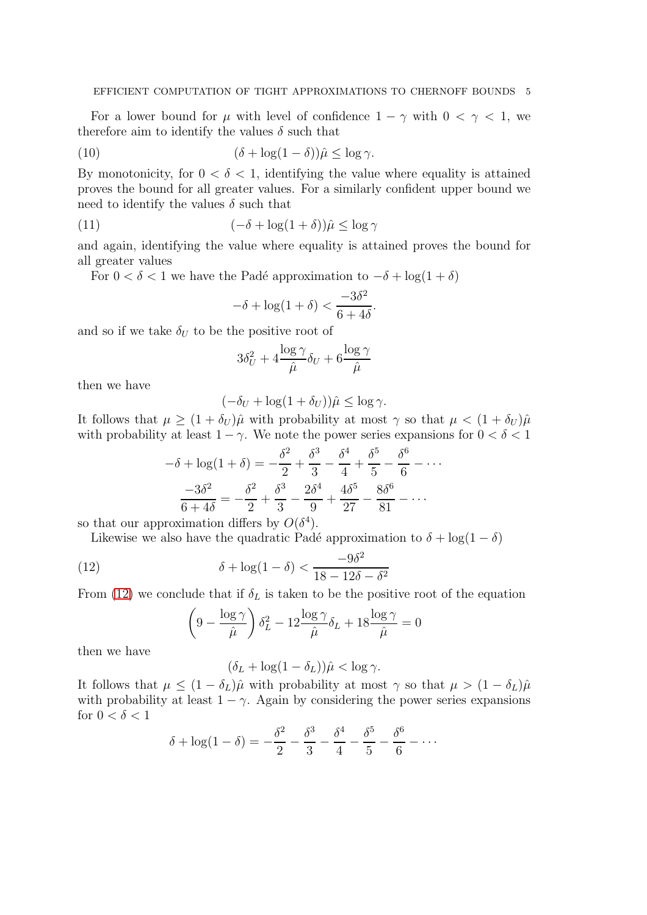For a lower bound for  $\mu$  with level of confidence  $1 - \gamma$  with  $0 < \gamma < 1$ , we therefore aim to identify the values  $\delta$  such that

(10) 
$$
(\delta + \log(1 - \delta))\hat{\mu} \le \log \gamma.
$$

By monotonicity, for  $0 < \delta < 1$ , identifying the value where equality is attained proves the bound for all greater values. For a similarly confident upper bound we need to identify the values  $\delta$  such that

(11) 
$$
(-\delta + \log(1+\delta))\hat{\mu} \le \log \gamma
$$

and again, identifying the value where equality is attained proves the bound for all greater values

For  $0 < \delta < 1$  we have the Padé approximation to  $-\delta + \log(1+\delta)$ 

$$
-\delta + \log(1+\delta) < \frac{-3\delta^2}{6+4\delta}.
$$

and so if we take  $\delta_U$  to be the positive root of

$$
3\delta_U^2 + 4\frac{\log \gamma}{\hat{\mu}}\delta_U + 6\frac{\log \gamma}{\hat{\mu}}
$$

then we have

$$
(-\delta_U + \log(1 + \delta_U))\hat{\mu} \le \log \gamma.
$$

It follows that  $\mu \geq (1 + \delta_U)\hat{\mu}$  with probability at most  $\gamma$  so that  $\mu < (1 + \delta_U)\hat{\mu}$ with probability at least  $1 - \gamma$ . We note the power series expansions for  $0 < \delta < 1$ 

$$
-\delta + \log(1+\delta) = -\frac{\delta^2}{2} + \frac{\delta^3}{3} - \frac{\delta^4}{4} + \frac{\delta^5}{5} - \frac{\delta^6}{6} - \dots
$$

$$
\frac{-3\delta^2}{6+4\delta} = -\frac{\delta^2}{2} + \frac{\delta^3}{3} - \frac{2\delta^4}{9} + \frac{4\delta^5}{27} - \frac{8\delta^6}{81} - \dots
$$

so that our approximation differs by  $O(\delta^4)$ .

Likewise we also have the quadratic Padé approximation to  $\delta + \log(1 - \delta)$ 

(12) 
$$
\delta + \log(1 - \delta) < \frac{-9\delta^2}{18 - 12\delta - \delta^2}
$$

From [\(12\)](#page-4-0) we conclude that if  $\delta_L$  is taken to be the positive root of the equation

<span id="page-4-0"></span>
$$
\left(9 - \frac{\log \gamma}{\hat{\mu}}\right)\delta_L^2 - 12\frac{\log \gamma}{\hat{\mu}}\delta_L + 18\frac{\log \gamma}{\hat{\mu}} = 0
$$

then we have

$$
(\delta_L + \log(1 - \delta_L))\hat{\mu} < \log \gamma.
$$

It follows that  $\mu \leq (1 - \delta_L)\hat{\mu}$  with probability at most  $\gamma$  so that  $\mu > (1 - \delta_L)\hat{\mu}$ with probability at least  $1 - \gamma$ . Again by considering the power series expansions for  $0 < \delta < 1$ 

$$
\delta + \log(1 - \delta) = -\frac{\delta^2}{2} - \frac{\delta^3}{3} - \frac{\delta^4}{4} - \frac{\delta^5}{5} - \frac{\delta^6}{6} - \cdots
$$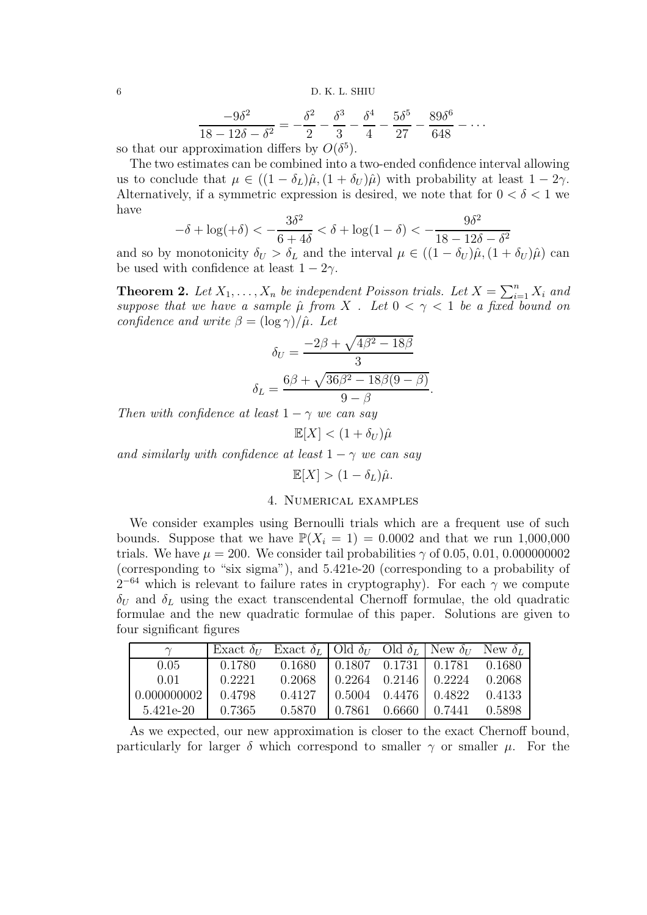6 D. K. L. SHIU

$$
\frac{-9\delta^2}{18 - 12\delta - \delta^2} = -\frac{\delta^2}{2} - \frac{\delta^3}{3} - \frac{\delta^4}{4} - \frac{5\delta^5}{27} - \frac{89\delta^6}{648} - \dots
$$
  
exponenting differs by  $O(\delta^5)$ 

so that our approximation differs by  $O(\delta^5)$ .

The two estimates can be combined into a two-ended confidence interval allowing us to conclude that  $\mu \in ((1 - \delta_L)\hat{\mu}, (1 + \delta_U)\hat{\mu})$  with probability at least  $1 - 2\gamma$ . Alternatively, if a symmetric expression is desired, we note that for  $0 < \delta < 1$  we have

$$
-\delta + \log(+\delta) < -\frac{3\delta^2}{6+4\delta} < \delta + \log(1-\delta) < -\frac{9\delta^2}{18-12\delta - \delta^2}
$$

and so by monotonicity  $\delta_U > \delta_L$  and the interval  $\mu \in ((1 - \delta_U)\hat{\mu}, (1 + \delta_U)\hat{\mu})$  can be used with confidence at least  $1 - 2\gamma$ .

**Theorem 2.** Let  $X_1, \ldots, X_n$  be independent Poisson trials. Let  $X = \sum_{i=1}^n X_i$  and suppose that we have a sample  $\hat{\mu}$  from X. Let  $0 < \gamma < 1$  be a fixed bound on confidence and write  $\beta = (\log \gamma)/\hat{\mu}$ . Let

$$
\delta_U = \frac{-2\beta + \sqrt{4\beta^2 - 18\beta}}{3}
$$

$$
\delta_L = \frac{6\beta + \sqrt{36\beta^2 - 18\beta(9 - \beta)}}{9 - \beta}.
$$

Then with confidence at least  $1 - \gamma$  we can say

$$
\mathbb{E}[X] < (1 + \delta_U)\hat{\mu}
$$

and similarly with confidence at least  $1 - \gamma$  we can say

$$
\mathbb{E}[X] > (1 - \delta_L)\hat{\mu}.
$$

## 4. Numerical examples

We consider examples using Bernoulli trials which are a frequent use of such bounds. Suppose that we have  $\mathbb{P}(X_i = 1) = 0.0002$  and that we run 1,000,000 trials. We have  $\mu = 200$ . We consider tail probabilities  $\gamma$  of 0.05, 0.01, 0.000000002 (corresponding to "six sigma"), and 5.421e-20 (corresponding to a probability of  $2^{-64}$  which is relevant to failure rates in cryptography). For each  $\gamma$  we compute  $\delta_U$  and  $\delta_L$  using the exact transcendental Chernoff formulae, the old quadratic formulae and the new quadratic formulae of this paper. Solutions are given to four significant figures

| $\sim$                                                      | Exact $\delta_U$ Exact $\delta_L$ Old $\delta_U$ Old $\delta_L$ New $\delta_U$ New $\delta_L$ |                                                       |  |  |
|-------------------------------------------------------------|-----------------------------------------------------------------------------------------------|-------------------------------------------------------|--|--|
| 0.05                                                        |                                                                                               | $0.1780$ $0.1680$ $0.1807$ $0.1731$ $0.1781$ $0.1680$ |  |  |
| 0.01                                                        |                                                                                               | $0.2221$ $0.2068$ $0.2264$ $0.2146$ $0.2224$ $0.2068$ |  |  |
| 0.000000002                                                 |                                                                                               | $0.4798$ $0.4127$ $0.5004$ $0.4476$ $0.4822$ $0.4133$ |  |  |
| $5.421e-20$   0.7365 0.5870   0.7861 0.6660   0.7441 0.5898 |                                                                                               |                                                       |  |  |

As we expected, our new approximation is closer to the exact Chernoff bound, particularly for larger  $\delta$  which correspond to smaller  $\gamma$  or smaller  $\mu$ . For the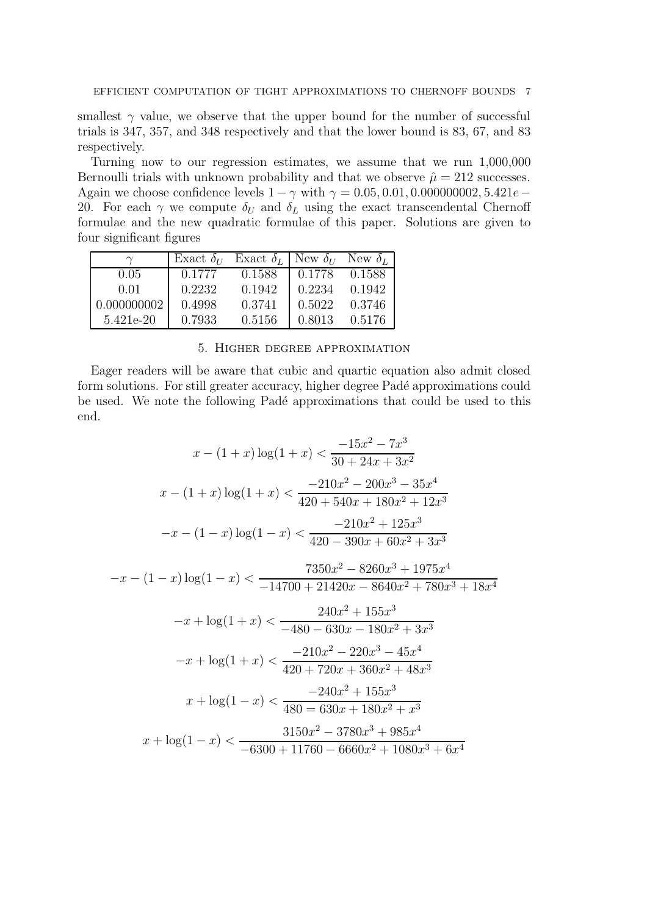smallest  $\gamma$  value, we observe that the upper bound for the number of successful trials is 347, 357, and 348 respectively and that the lower bound is 83, 67, and 83 respectively.

Turning now to our regression estimates, we assume that we run 1,000,000 Bernoulli trials with unknown probability and that we observe  $\hat{\mu} = 212$  successes. Again we choose confidence levels  $1 - \gamma$  with  $\gamma = 0.05, 0.01, 0.000000002, 5.421e -$ 20. For each  $\gamma$  we compute  $\delta_U$  and  $\delta_L$  using the exact transcendental Chernoff formulae and the new quadratic formulae of this paper. Solutions are given to four significant figures

|             |        | Exact $\delta_U$ Exact $\delta_L$ New $\delta_U$ New $\delta_L$ |        |        |
|-------------|--------|-----------------------------------------------------------------|--------|--------|
| 0.05        | 0.1777 | 0.1588                                                          | 0.1778 | 0.1588 |
| 0.01        | 0.2232 | 0.1942                                                          | 0.2234 | 0.1942 |
| 0.000000002 | 0.4998 | 0.3741                                                          | 0.5022 | 0.3746 |
| 5.421e-20   | 0.7933 | 0.5156                                                          | 0.8013 | 0.5176 |

### 5. Higher degree approximation

Eager readers will be aware that cubic and quartic equation also admit closed form solutions. For still greater accuracy, higher degree Padé approximations could be used. We note the following Padé approximations that could be used to this end.

$$
x - (1+x) \log(1+x) < \frac{-15x^2 - 7x^3}{30 + 24x + 3x^2}
$$
\n
$$
x - (1+x) \log(1+x) < \frac{-210x^2 - 200x^3 - 35x^4}{420 + 540x + 180x^2 + 12x^3}
$$
\n
$$
-x - (1-x) \log(1-x) < \frac{-210x^2 + 125x^3}{420 - 390x + 60x^2 + 3x^3}
$$
\n
$$
-x - (1-x) \log(1-x) < \frac{7350x^2 - 8260x^3 + 1975x^4}{-14700 + 21420x - 8640x^2 + 780x^3 + 18x^4}
$$
\n
$$
-x + \log(1+x) < \frac{240x^2 + 155x^3}{-480 - 630x - 180x^2 + 3x^3}
$$
\n
$$
-x + \log(1+x) < \frac{-210x^2 - 220x^3 - 45x^4}{420 + 720x + 360x^2 + 48x^3}
$$
\n
$$
x + \log(1-x) < \frac{-240x^2 + 155x^3}{480 = 630x + 180x^2 + x^3}
$$
\n
$$
x + \log(1-x) < \frac{-240x^2 + 155x^3}{480 = 630x + 180x^2 + x^3}
$$
\n
$$
x + \log(1-x) < \frac{3150x^2 - 3780x^3 + 985x^4}{-6300 + 11760 - 6660x^2 + 1080x^3 + 6x^4}
$$